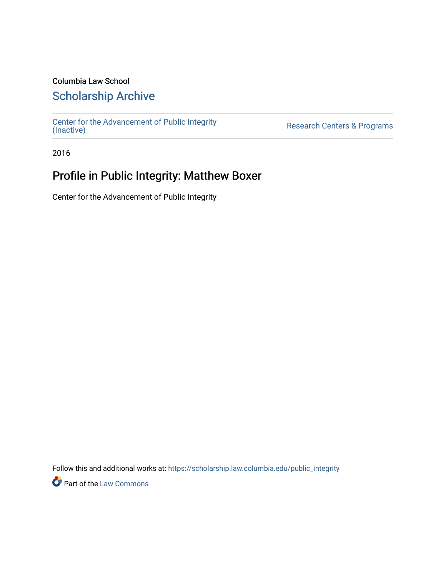### Columbia Law School

### [Scholarship Archive](https://scholarship.law.columbia.edu/)

[Center for the Advancement of Public Integrity](https://scholarship.law.columbia.edu/public_integrity)<br>(Inactive)

Research Centers & Programs

2016

## Profile in Public Integrity: Matthew Boxer

Center for the Advancement of Public Integrity

Follow this and additional works at: [https://scholarship.law.columbia.edu/public\\_integrity](https://scholarship.law.columbia.edu/public_integrity?utm_source=scholarship.law.columbia.edu%2Fpublic_integrity%2F95&utm_medium=PDF&utm_campaign=PDFCoverPages)

**Part of the [Law Commons](http://network.bepress.com/hgg/discipline/578?utm_source=scholarship.law.columbia.edu%2Fpublic_integrity%2F95&utm_medium=PDF&utm_campaign=PDFCoverPages)**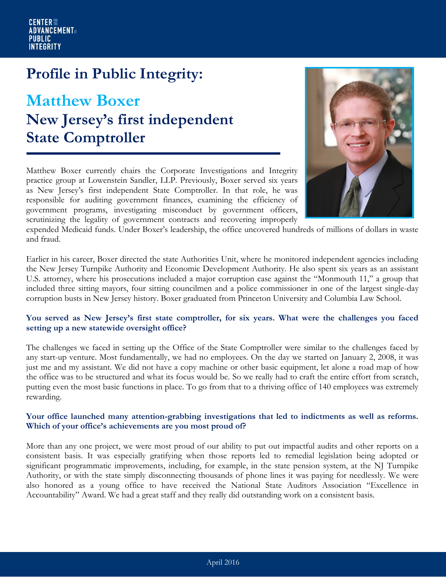## **Profile in Public Integrity:**

# **Matthew Boxer New Jersey's first independent State Comptroller**

Matthew Boxer currently chairs the Corporate Investigations and Integrity practice group at Lowenstein Sandler, LLP. Previously, Boxer served six years as New Jersey's first independent State Comptroller. In that role, he was responsible for auditing government finances, examining the efficiency of government programs, investigating misconduct by government officers, scrutinizing the legality of government contracts and recovering improperly



expended Medicaid funds. Under Boxer's leadership, the office uncovered hundreds of millions of dollars in waste and fraud.

Earlier in his career, Boxer directed the state Authorities Unit, where he monitored independent agencies including the New Jersey Turnpike Authority and Economic Development Authority. He also spent six years as an assistant U.S. attorney, where his prosecutions included a major corruption case against the "Monmouth 11," a group that included three sitting mayors, four sitting councilmen and a police commissioner in one of the largest single-day corruption busts in New Jersey history. Boxer graduated from Princeton University and Columbia Law School.

#### **You served as New Jersey's first state comptroller, for six years. What were the challenges you faced setting up a new statewide oversight office?**

The challenges we faced in setting up the Office of the State Comptroller were similar to the challenges faced by any start-up venture. Most fundamentally, we had no employees. On the day we started on January 2, 2008, it was just me and my assistant. We did not have a copy machine or other basic equipment, let alone a road map of how the office was to be structured and what its focus would be. So we really had to craft the entire effort from scratch, putting even the most basic functions in place. To go from that to a thriving office of 140 employees was extremely rewarding.

#### **Your office launched many attention-grabbing investigations that led to indictments as well as reforms. Which of your office's achievements are you most proud of?**

More than any one project, we were most proud of our ability to put out impactful audits and other reports on a consistent basis. It was especially gratifying when those reports led to remedial legislation being adopted or significant programmatic improvements, including, for example, in the state pension system, at the NJ Turnpike Authority, or with the state simply disconnecting thousands of phone lines it was paying for needlessly. We were also honored as a young office to have received the National State Auditors Association "Excellence in Accountability" Award. We had a great staff and they really did outstanding work on a consistent basis.